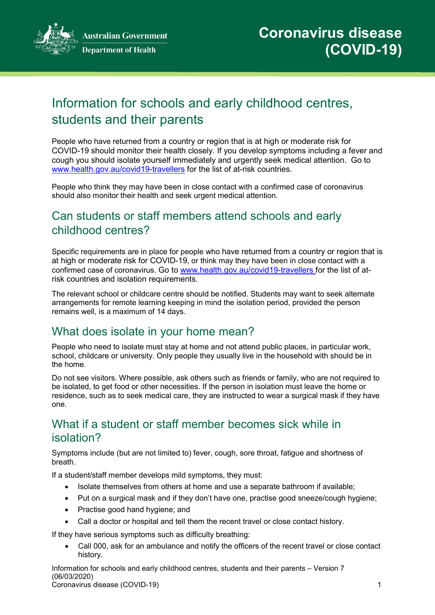**Australian Government Department of Health** 



# Information for schools and early childhood centres, students and their parents

People who have returned from a country or region that is at high or moderate risk for COVID-19 should monitor their health closely. If you develop symptoms including a fever and cough you should isolate yourself immediately and urgently seek medical attention. Go to [www.health.gov.au/covid19-travellers](http://www.health.gov.au/covid19-travellers) for the list of at-risk countries.

People who think they may have been in close contact with a confirmed case of coronavirus should also monitor their health and seek urgent medical attention.

## Can students or staff members attend schools and early childhood centres?

Specific requirements are in place for people who have returned from a country or region that is at high or moderate risk for COVID-19, or think may they have been in close contact with a confirmed case of coronavirus. Go to [www.health.gov.au/covid19-travellers](http://www.health.gov.au/covid19-travellers) for the list of atrisk countries and isolation requirements.

The relevant school or childcare centre should be notified. Students may want to seek alternate arrangements for remote learning keeping in mind the isolation period, provided the person remains well, is a maximum of 14 days.

#### What does isolate in your home mean?

People who need to isolate must stay at home and not attend public places, in particular work, school, childcare or university. Only people they usually live in the household with should be in the home.

Do not see visitors. Where possible, ask others such as friends or family, who are not required to be isolated, to get food or other necessities. If the person in isolation must leave the home or residence, such as to seek medical care, they are instructed to wear a surgical mask if they have one.

## What if a student or staff member becomes sick while in isolation?

Symptoms include (but are not limited to) fever, cough, sore throat, fatigue and shortness of breath.

If a student/staff member develops mild symptoms, they must:

- Isolate themselves from others at home and use a separate bathroom if available;
- Put on a surgical mask and if they don't have one, practise good sneeze/cough hygiene;
- Practise good hand hygiene; and
- Call a doctor or hospital and tell them the recent travel or close contact history.

If they have serious symptoms such as difficulty breathing:

• Call 000, ask for an ambulance and notify the officers of the recent travel or close contact history.

Information for schools and early childhood centres, students and their parents – Version 7 (06/03/2020) Coronavirus disease (COVID-19) 1